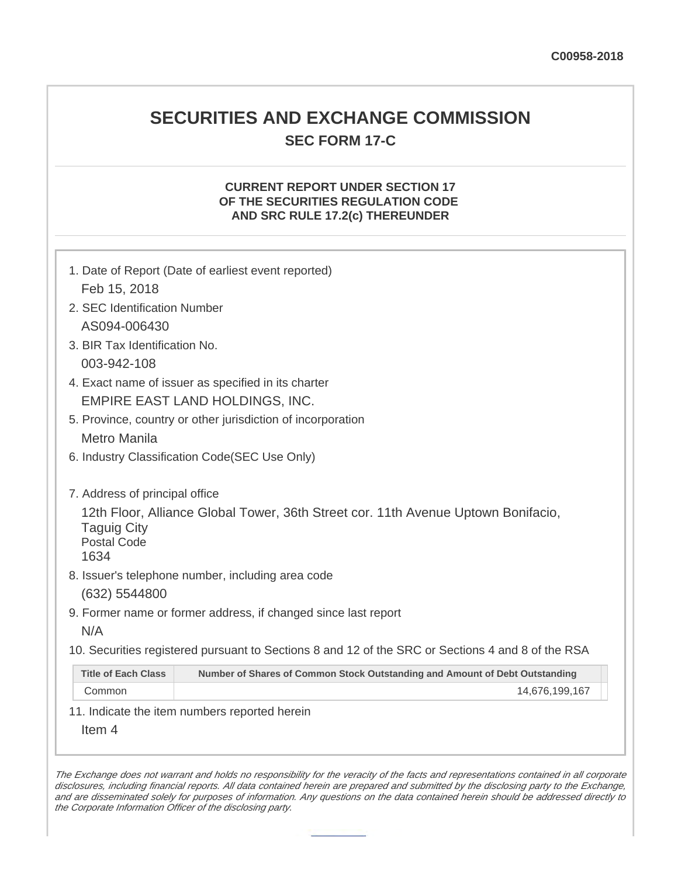# **SECURITIES AND EXCHANGE COMMISSION SEC FORM 17-C**

## **CURRENT REPORT UNDER SECTION 17 OF THE SECURITIES REGULATION CODE AND SRC RULE 17.2(c) THEREUNDER**

| Feb 15, 2018                                                   | 1. Date of Report (Date of earliest event reported)                                               |  |  |  |
|----------------------------------------------------------------|---------------------------------------------------------------------------------------------------|--|--|--|
|                                                                |                                                                                                   |  |  |  |
| 2. SEC Identification Number                                   |                                                                                                   |  |  |  |
|                                                                | AS094-006430                                                                                      |  |  |  |
|                                                                | 3. BIR Tax Identification No.                                                                     |  |  |  |
|                                                                | 003-942-108                                                                                       |  |  |  |
|                                                                | 4. Exact name of issuer as specified in its charter                                               |  |  |  |
|                                                                | EMPIRE EAST LAND HOLDINGS, INC.                                                                   |  |  |  |
|                                                                | 5. Province, country or other jurisdiction of incorporation                                       |  |  |  |
| <b>Metro Manila</b>                                            |                                                                                                   |  |  |  |
|                                                                | 6. Industry Classification Code(SEC Use Only)                                                     |  |  |  |
|                                                                |                                                                                                   |  |  |  |
| 7. Address of principal office                                 |                                                                                                   |  |  |  |
| <b>Taguig City</b><br><b>Postal Code</b><br>1634               | 12th Floor, Alliance Global Tower, 36th Street cor. 11th Avenue Uptown Bonifacio,                 |  |  |  |
|                                                                | 8. Issuer's telephone number, including area code                                                 |  |  |  |
| (632) 5544800                                                  |                                                                                                   |  |  |  |
| 9. Former name or former address, if changed since last report |                                                                                                   |  |  |  |
| N/A                                                            |                                                                                                   |  |  |  |
|                                                                | 10. Securities registered pursuant to Sections 8 and 12 of the SRC or Sections 4 and 8 of the RSA |  |  |  |
| <b>Title of Each Class</b>                                     | Number of Shares of Common Stock Outstanding and Amount of Debt Outstanding                       |  |  |  |
| Common                                                         | 14,676,199,167                                                                                    |  |  |  |
|                                                                | 11. Indicate the item numbers reported herein                                                     |  |  |  |
| Item 4                                                         |                                                                                                   |  |  |  |
|                                                                |                                                                                                   |  |  |  |

The Exchange does not warrant and holds no responsibility for the veracity of the facts and representations contained in all corporate disclosures, including financial reports. All data contained herein are prepared and submitted by the disclosing party to the Exchange, and are disseminated solely for purposes of information. Any questions on the data contained herein should be addressed directly to the Corporate Information Officer of the disclosing party.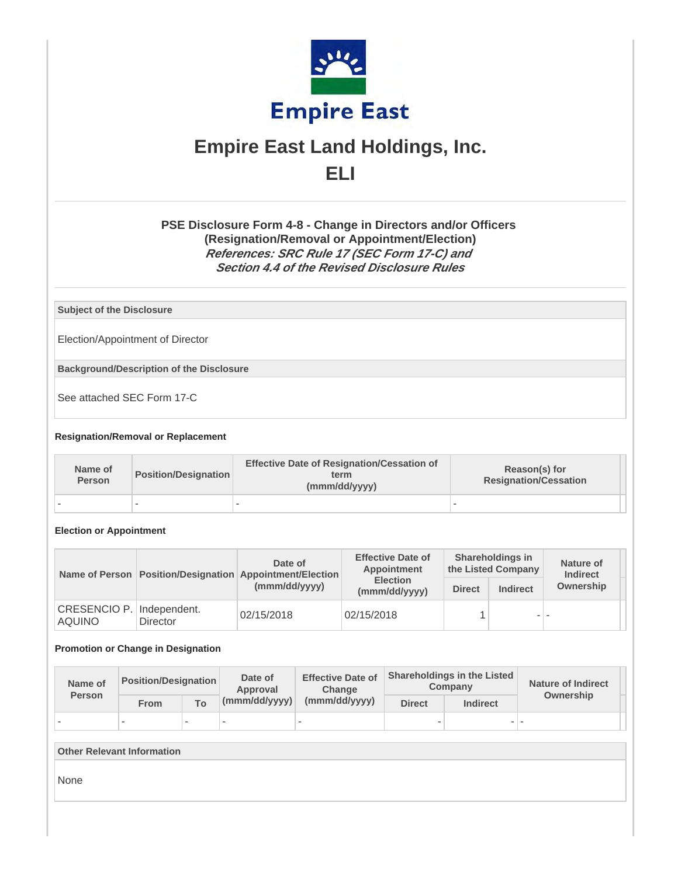

# **Empire East Land Holdings, Inc. ELI**

## **PSE Disclosure Form 4-8 - Change in Directors and/or Officers (Resignation/Removal or Appointment/Election) References: SRC Rule 17 (SEC Form 17-C) and Section 4.4 of the Revised Disclosure Rules**

**Subject of the Disclosure**

Election/Appointment of Director

**Background/Description of the Disclosure**

See attached SEC Form 17-C

#### **Resignation/Removal or Replacement**

| Name of<br><b>Person</b> | <b>Position/Designation</b> | <b>Effective Date of Resignation/Cessation of</b><br>term<br>(mmm/dd/yyyy) | Reason(s) for<br><b>Resignation/Cessation</b> |  |
|--------------------------|-----------------------------|----------------------------------------------------------------------------|-----------------------------------------------|--|
|                          | -                           |                                                                            |                                               |  |

#### **Election or Appointment**

|                                      |                                        | Date of<br>Name of Person   Position/Designation   Appointment/Election | <b>Effective Date of</b><br>Appointment | <b>Shareholdings in</b><br>the Listed Company |                 | Nature of<br><b>Indirect</b> |
|--------------------------------------|----------------------------------------|-------------------------------------------------------------------------|-----------------------------------------|-----------------------------------------------|-----------------|------------------------------|
|                                      |                                        | (mmm/dd/yyyy)                                                           | <b>Election</b><br>(mmm/dd/yyyy)        | <b>Direct</b>                                 | <b>Indirect</b> | Ownership                    |
| <b>CRESENCIO P.</b><br><b>AQUINO</b> | Independent.<br>02/15/2018<br>Director |                                                                         | 02/15/2018                              |                                               | - -             |                              |

#### **Promotion or Change in Designation**

| Name of<br><b>Person</b> | Position/Designation |              | Date of<br>Approval | <b>Effective Date of</b><br>Change | <b>Shareholdings in the Listed</b><br>Company |                 | <b>Nature of Indirect</b><br>Ownership |  |
|--------------------------|----------------------|--------------|---------------------|------------------------------------|-----------------------------------------------|-----------------|----------------------------------------|--|
|                          | From                 | $T_{\Omega}$ | (mmm/dd/yyyy)       | (mmm/dd/yyyy)                      | <b>Direct</b>                                 | <b>Indirect</b> |                                        |  |
|                          |                      |              |                     |                                    | $\overline{\phantom{a}}$                      |                 |                                        |  |

#### **Other Relevant Information**

None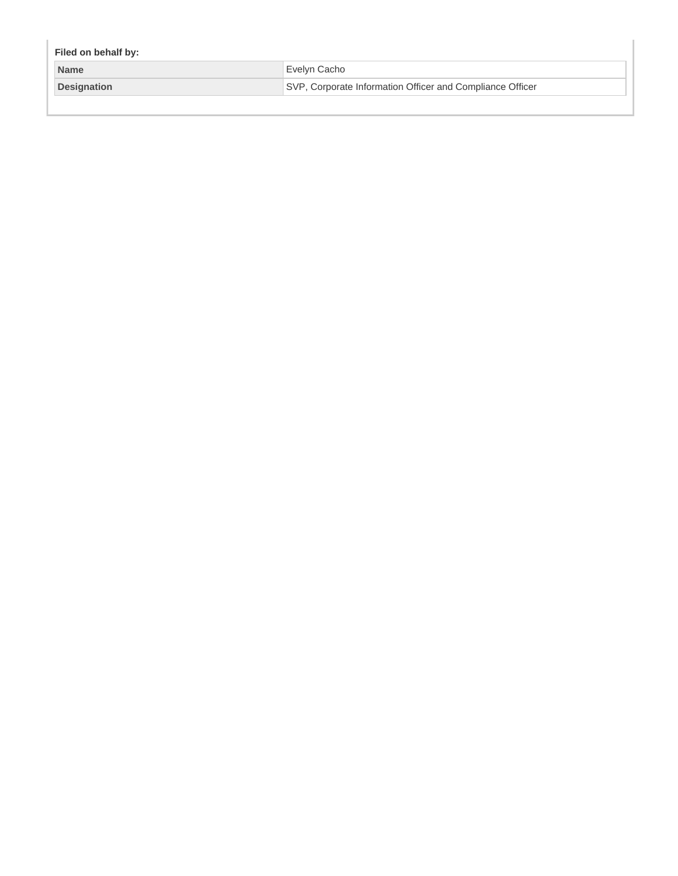| Filed on behalf by: |                                                           |  |  |
|---------------------|-----------------------------------------------------------|--|--|
| <b>Name</b>         | Evelyn Cacho                                              |  |  |
| Designation         | SVP, Corporate Information Officer and Compliance Officer |  |  |
|                     |                                                           |  |  |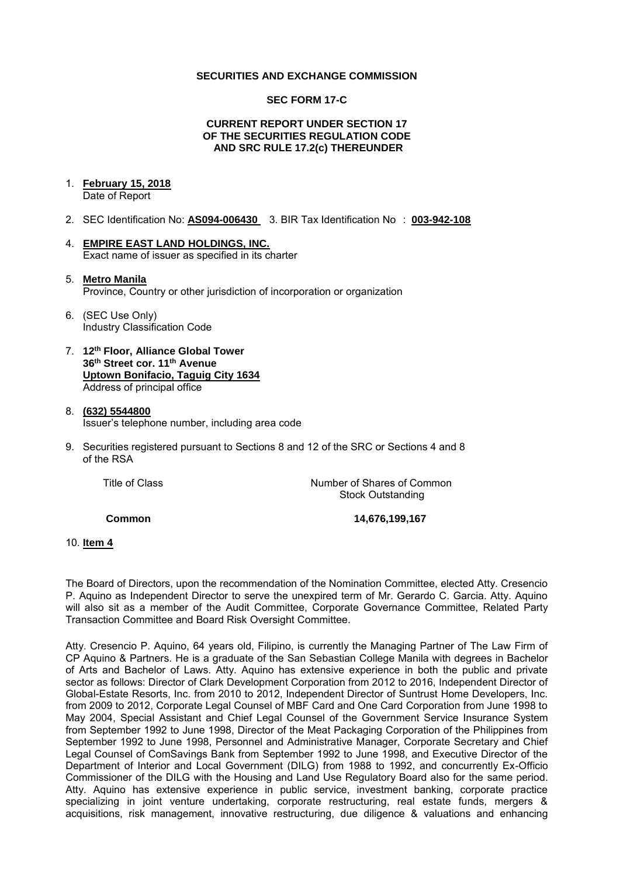#### **SECURITIES AND EXCHANGE COMMISSION**

#### **SEC FORM 17-C**

#### **CURRENT REPORT UNDER SECTION 17 OF THE SECURITIES REGULATION CODE AND SRC RULE 17.2(c) THEREUNDER**

# 1. **February 15, 2018**

Date of Report

- 2. SEC Identification No: **AS094-006430** 3. BIR Tax Identification No : **003-942-108**
- 4. **EMPIRE EAST LAND HOLDINGS, INC.**  Exact name of issuer as specified in its charter

#### 5. **Metro Manila**  Province, Country or other jurisdiction of incorporation or organization

- 6. (SEC Use Only) Industry Classification Code
- 7. **12th Floor, Alliance Global Tower 36th Street cor. 11th Avenue Uptown Bonifacio, Taguig City 1634** Address of principal office
- 8. **(632) 5544800**  Issuer's telephone number, including area code
- 9. Securities registered pursuant to Sections 8 and 12 of the SRC or Sections 4 and 8 of the RSA

| Title of Class | Number of Shares of Common |
|----------------|----------------------------|
|                | <b>Stock Outstanding</b>   |

**Common 14,676,199,167** 

#### 10. **Item 4**

The Board of Directors, upon the recommendation of the Nomination Committee, elected Atty. Cresencio P. Aquino as Independent Director to serve the unexpired term of Mr. Gerardo C. Garcia. Atty. Aquino will also sit as a member of the Audit Committee, Corporate Governance Committee, Related Party Transaction Committee and Board Risk Oversight Committee.

Atty. Cresencio P. Aquino, 64 years old, Filipino, is currently the Managing Partner of The Law Firm of CP Aquino & Partners. He is a graduate of the San Sebastian College Manila with degrees in Bachelor of Arts and Bachelor of Laws. Atty. Aquino has extensive experience in both the public and private sector as follows: Director of Clark Development Corporation from 2012 to 2016, Independent Director of Global-Estate Resorts, Inc. from 2010 to 2012, Independent Director of Suntrust Home Developers, Inc. from 2009 to 2012, Corporate Legal Counsel of MBF Card and One Card Corporation from June 1998 to May 2004, Special Assistant and Chief Legal Counsel of the Government Service Insurance System from September 1992 to June 1998, Director of the Meat Packaging Corporation of the Philippines from September 1992 to June 1998, Personnel and Administrative Manager, Corporate Secretary and Chief Legal Counsel of ComSavings Bank from September 1992 to June 1998, and Executive Director of the Department of Interior and Local Government (DILG) from 1988 to 1992, and concurrently Ex-Officio Commissioner of the DILG with the Housing and Land Use Regulatory Board also for the same period. Atty. Aquino has extensive experience in public service, investment banking, corporate practice specializing in joint venture undertaking, corporate restructuring, real estate funds, mergers & acquisitions, risk management, innovative restructuring, due diligence & valuations and enhancing